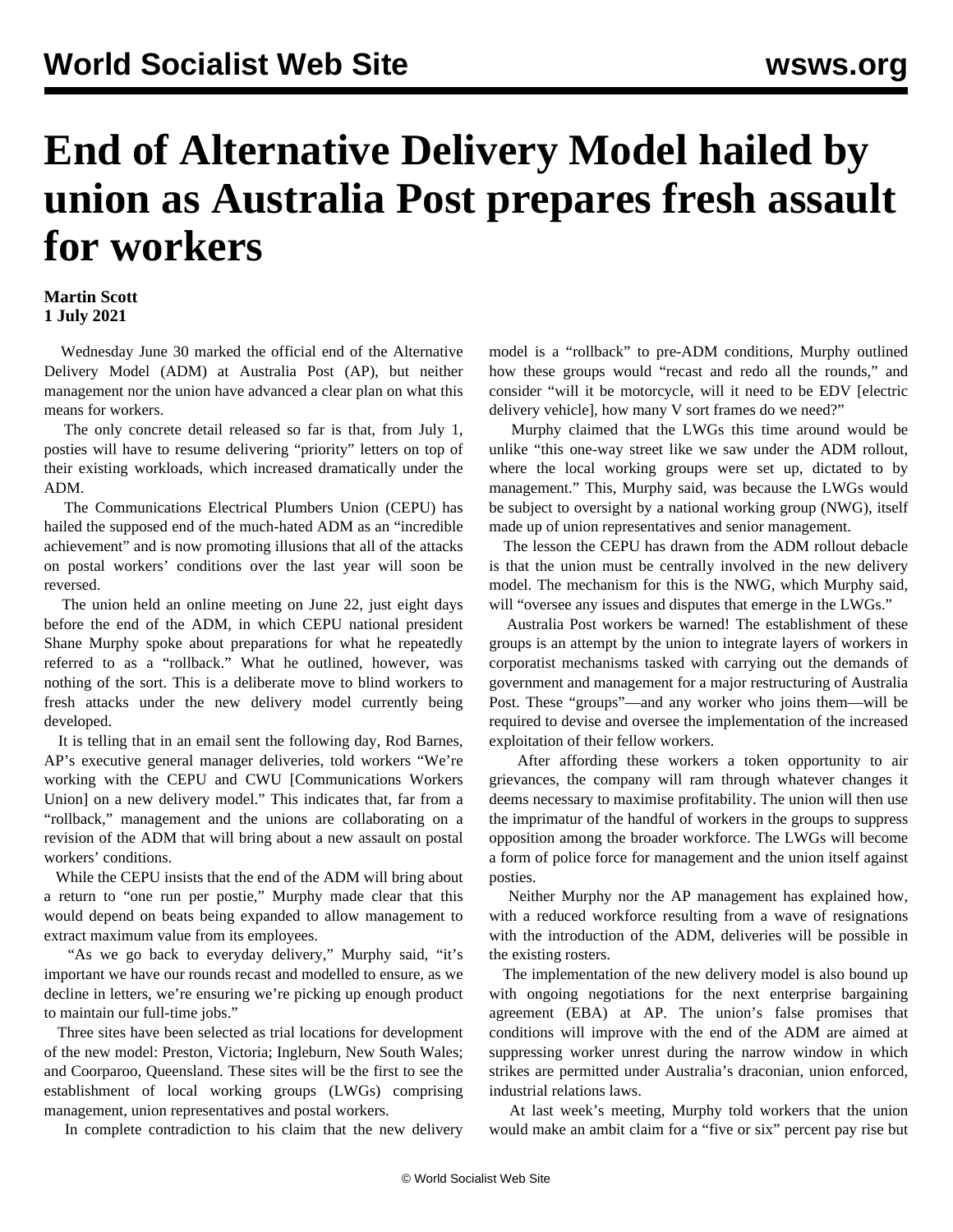## **End of Alternative Delivery Model hailed by union as Australia Post prepares fresh assault for workers**

## **Martin Scott 1 July 2021**

 Wednesday June 30 marked the official end of the Alternative Delivery Model (ADM) at Australia Post (AP), but neither management nor the union have advanced a clear plan on what this means for workers.

 The only concrete detail released so far is that, from July 1, posties will have to resume delivering "priority" letters on top of their existing workloads, which increased dramatically under the ADM.

 The Communications Electrical Plumbers Union (CEPU) has hailed the supposed end of the much-hated ADM as an "incredible achievement" and is now promoting illusions that all of the attacks on postal workers' conditions over the last year will soon be reversed.

 The union held an online meeting on June 22, just eight days before the end of the ADM, in which CEPU national president Shane Murphy spoke about preparations for what he repeatedly referred to as a "rollback." What he outlined, however, was nothing of the sort. This is a deliberate move to blind workers to fresh attacks under the new delivery model currently being developed.

 It is telling that in an email sent the following day, Rod Barnes, AP's executive general manager deliveries, told workers "We're working with the CEPU and CWU [Communications Workers Union] on a new delivery model." This indicates that, far from a "rollback," management and the unions are collaborating on a revision of the ADM that will bring about a new assault on postal workers' conditions.

 While the CEPU insists that the end of the ADM will bring about a return to "one run per postie," Murphy made clear that this would depend on beats being expanded to allow management to extract maximum value from its employees.

"As we go back to everyday delivery," Murphy said, "it's important we have our rounds recast and modelled to ensure, as we decline in letters, we're ensuring we're picking up enough product to maintain our full-time jobs."

 Three sites have been selected as trial locations for development of the new model: Preston, Victoria; Ingleburn, New South Wales; and Coorparoo, Queensland. These sites will be the first to see the establishment of local working groups (LWGs) comprising management, union representatives and postal workers.

In complete contradiction to his claim that the new delivery

model is a "rollback" to pre-ADM conditions, Murphy outlined how these groups would "recast and redo all the rounds," and consider "will it be motorcycle, will it need to be EDV [electric delivery vehicle], how many V sort frames do we need?"

 Murphy claimed that the LWGs this time around would be unlike "this one-way street like we saw under the ADM rollout, where the local working groups were set up, dictated to by management." This, Murphy said, was because the LWGs would be subject to oversight by a national working group (NWG), itself made up of union representatives and senior management.

 The lesson the CEPU has drawn from the ADM rollout debacle is that the union must be centrally involved in the new delivery model. The mechanism for this is the NWG, which Murphy said, will "oversee any issues and disputes that emerge in the LWGs."

 Australia Post workers be warned! The establishment of these groups is an attempt by the union to integrate layers of workers in corporatist mechanisms tasked with carrying out the demands of government and management for a major restructuring of Australia Post. These "groups"—and any worker who joins them—will be required to devise and oversee the implementation of the increased exploitation of their fellow workers.

 After affording these workers a token opportunity to air grievances, the company will ram through whatever changes it deems necessary to maximise profitability. The union will then use the imprimatur of the handful of workers in the groups to suppress opposition among the broader workforce. The LWGs will become a form of police force for management and the union itself against posties.

 Neither Murphy nor the AP management has explained how, with a reduced workforce resulting from a wave of resignations with the introduction of the ADM, deliveries will be possible in the existing rosters.

 The implementation of the new delivery model is also bound up with ongoing negotiations for the next enterprise bargaining agreement (EBA) at AP. The union's false promises that conditions will improve with the end of the ADM are aimed at suppressing worker unrest during the narrow window in which strikes are permitted under Australia's draconian, union enforced, industrial relations laws.

 At last week's meeting, Murphy told workers that the union would make an ambit claim for a "five or six" percent pay rise but